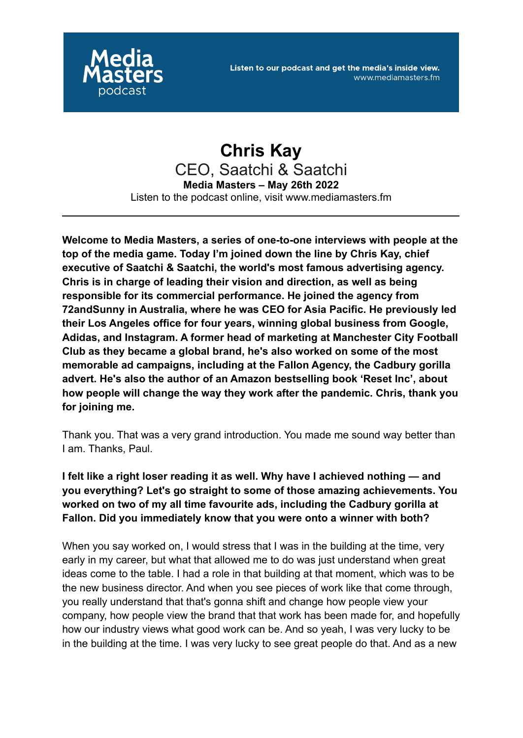

**Chris Kay** CEO, Saatchi & Saatchi **Media Masters – May 26th 2022** Listen to the podcast online, visit www.mediamasters.fm

**Welcome to Media Masters, a series of one-to-one interviews with people at the top of the media game. Today I'm joined down the line by Chris Kay, chief executive of Saatchi & Saatchi, the world's most famous advertising agency. Chris is in charge of leading their vision and direction, as well as being responsible for its commercial performance. He joined the agency from 72andSunny in Australia, where he was CEO for Asia Pacific. He previously led their Los Angeles office for four years, winning global business from Google, Adidas, and Instagram. A former head of marketing at Manchester City Football Club as they became a global brand, he's also worked on some of the most memorable ad campaigns, including at the Fallon Agency, the Cadbury gorilla advert. He's also the author of an Amazon bestselling book 'Reset Inc', about how people will change the way they work after the pandemic. Chris, thank you for joining me.**

Thank you. That was a very grand introduction. You made me sound way better than I am. Thanks, Paul.

**I felt like a right loser reading it as well. Why have I achieved nothing — and you everything? Let's go straight to some of those amazing achievements. You worked on two of my all time favourite ads, including the Cadbury gorilla at Fallon. Did you immediately know that you were onto a winner with both?**

When you say worked on, I would stress that I was in the building at the time, very early in my career, but what that allowed me to do was just understand when great ideas come to the table. I had a role in that building at that moment, which was to be the new business director. And when you see pieces of work like that come through, you really understand that that's gonna shift and change how people view your company, how people view the brand that that work has been made for, and hopefully how our industry views what good work can be. And so yeah, I was very lucky to be in the building at the time. I was very lucky to see great people do that. And as a new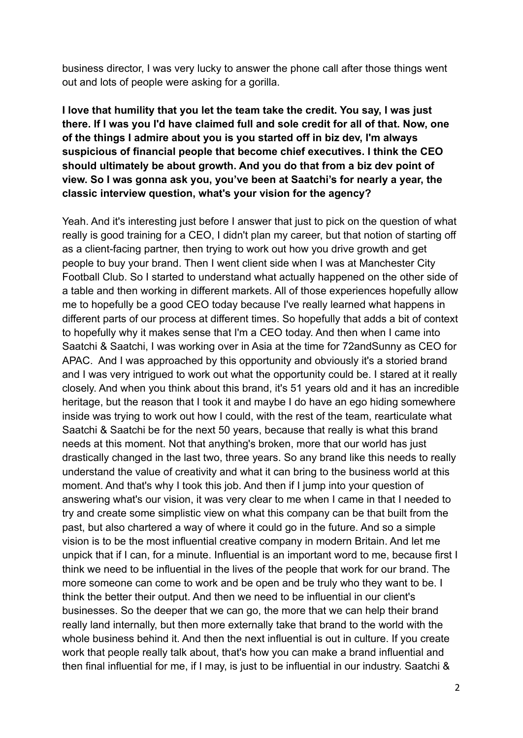business director, I was very lucky to answer the phone call after those things went out and lots of people were asking for a gorilla.

**I love that humility that you let the team take the credit. You say, I was just there. If I was you I'd have claimed full and sole credit for all of that. Now, one of the things I admire about you is you started off in biz dev, I'm always suspicious of financial people that become chief executives. I think the CEO should ultimately be about growth. And you do that from a biz dev point of view. So I was gonna ask you, you've been at Saatchi's for nearly a year, the classic interview question, what's your vision for the agency?**

Yeah. And it's interesting just before I answer that just to pick on the question of what really is good training for a CEO, I didn't plan my career, but that notion of starting off as a client-facing partner, then trying to work out how you drive growth and get people to buy your brand. Then I went client side when I was at Manchester City Football Club. So I started to understand what actually happened on the other side of a table and then working in different markets. All of those experiences hopefully allow me to hopefully be a good CEO today because I've really learned what happens in different parts of our process at different times. So hopefully that adds a bit of context to hopefully why it makes sense that I'm a CEO today. And then when I came into Saatchi & Saatchi, I was working over in Asia at the time for 72andSunny as CEO for APAC. And I was approached by this opportunity and obviously it's a storied brand and I was very intrigued to work out what the opportunity could be. I stared at it really closely. And when you think about this brand, it's 51 years old and it has an incredible heritage, but the reason that I took it and maybe I do have an ego hiding somewhere inside was trying to work out how I could, with the rest of the team, rearticulate what Saatchi & Saatchi be for the next 50 years, because that really is what this brand needs at this moment. Not that anything's broken, more that our world has just drastically changed in the last two, three years. So any brand like this needs to really understand the value of creativity and what it can bring to the business world at this moment. And that's why I took this job. And then if I jump into your question of answering what's our vision, it was very clear to me when I came in that I needed to try and create some simplistic view on what this company can be that built from the past, but also chartered a way of where it could go in the future. And so a simple vision is to be the most influential creative company in modern Britain. And let me unpick that if I can, for a minute. Influential is an important word to me, because first I think we need to be influential in the lives of the people that work for our brand. The more someone can come to work and be open and be truly who they want to be. I think the better their output. And then we need to be influential in our client's businesses. So the deeper that we can go, the more that we can help their brand really land internally, but then more externally take that brand to the world with the whole business behind it. And then the next influential is out in culture. If you create work that people really talk about, that's how you can make a brand influential and then final influential for me, if I may, is just to be influential in our industry. Saatchi &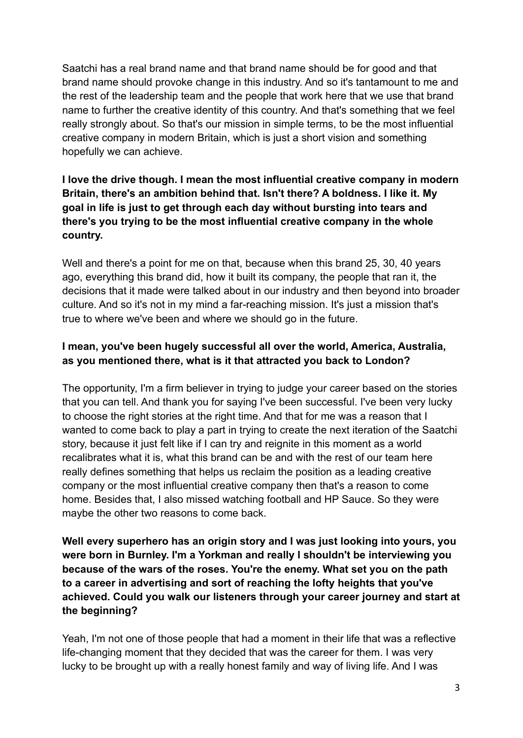Saatchi has a real brand name and that brand name should be for good and that brand name should provoke change in this industry. And so it's tantamount to me and the rest of the leadership team and the people that work here that we use that brand name to further the creative identity of this country. And that's something that we feel really strongly about. So that's our mission in simple terms, to be the most influential creative company in modern Britain, which is just a short vision and something hopefully we can achieve.

# **I love the drive though. I mean the most influential creative company in modern Britain, there's an ambition behind that. Isn't there? A boldness. I like it. My goal in life is just to get through each day without bursting into tears and there's you trying to be the most influential creative company in the whole country.**

Well and there's a point for me on that, because when this brand 25, 30, 40 years ago, everything this brand did, how it built its company, the people that ran it, the decisions that it made were talked about in our industry and then beyond into broader culture. And so it's not in my mind a far-reaching mission. It's just a mission that's true to where we've been and where we should go in the future.

# **I mean, you've been hugely successful all over the world, America, Australia, as you mentioned there, what is it that attracted you back to London?**

The opportunity, I'm a firm believer in trying to judge your career based on the stories that you can tell. And thank you for saying I've been successful. I've been very lucky to choose the right stories at the right time. And that for me was a reason that I wanted to come back to play a part in trying to create the next iteration of the Saatchi story, because it just felt like if I can try and reignite in this moment as a world recalibrates what it is, what this brand can be and with the rest of our team here really defines something that helps us reclaim the position as a leading creative company or the most influential creative company then that's a reason to come home. Besides that, I also missed watching football and HP Sauce. So they were maybe the other two reasons to come back.

**Well every superhero has an origin story and I was just looking into yours, you were born in Burnley. I'm a Yorkman and really I shouldn't be interviewing you because of the wars of the roses. You're the enemy. What set you on the path to a career in advertising and sort of reaching the lofty heights that you've achieved. Could you walk our listeners through your career journey and start at the beginning?**

Yeah, I'm not one of those people that had a moment in their life that was a reflective life-changing moment that they decided that was the career for them. I was very lucky to be brought up with a really honest family and way of living life. And I was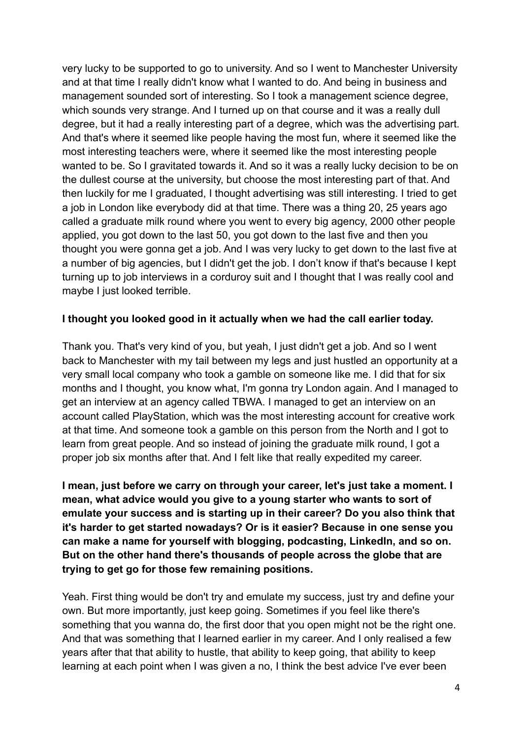very lucky to be supported to go to university. And so I went to Manchester University and at that time I really didn't know what I wanted to do. And being in business and management sounded sort of interesting. So I took a management science degree, which sounds very strange. And I turned up on that course and it was a really dull degree, but it had a really interesting part of a degree, which was the advertising part. And that's where it seemed like people having the most fun, where it seemed like the most interesting teachers were, where it seemed like the most interesting people wanted to be. So I gravitated towards it. And so it was a really lucky decision to be on the dullest course at the university, but choose the most interesting part of that. And then luckily for me I graduated, I thought advertising was still interesting. I tried to get a job in London like everybody did at that time. There was a thing 20, 25 years ago called a graduate milk round where you went to every big agency, 2000 other people applied, you got down to the last 50, you got down to the last five and then you thought you were gonna get a job. And I was very lucky to get down to the last five at a number of big agencies, but I didn't get the job. I don't know if that's because I kept turning up to job interviews in a corduroy suit and I thought that I was really cool and maybe I just looked terrible.

#### **I thought you looked good in it actually when we had the call earlier today.**

Thank you. That's very kind of you, but yeah, I just didn't get a job. And so I went back to Manchester with my tail between my legs and just hustled an opportunity at a very small local company who took a gamble on someone like me. I did that for six months and I thought, you know what, I'm gonna try London again. And I managed to get an interview at an agency called TBWA. I managed to get an interview on an account called PlayStation, which was the most interesting account for creative work at that time. And someone took a gamble on this person from the North and I got to learn from great people. And so instead of joining the graduate milk round, I got a proper job six months after that. And I felt like that really expedited my career.

**I mean, just before we carry on through your career, let's just take a moment. I mean, what advice would you give to a young starter who wants to sort of emulate your success and is starting up in their career? Do you also think that it's harder to get started nowadays? Or is it easier? Because in one sense you can make a name for yourself with blogging, podcasting, LinkedIn, and so on. But on the other hand there's thousands of people across the globe that are trying to get go for those few remaining positions.**

Yeah. First thing would be don't try and emulate my success, just try and define your own. But more importantly, just keep going. Sometimes if you feel like there's something that you wanna do, the first door that you open might not be the right one. And that was something that I learned earlier in my career. And I only realised a few years after that that ability to hustle, that ability to keep going, that ability to keep learning at each point when I was given a no, I think the best advice I've ever been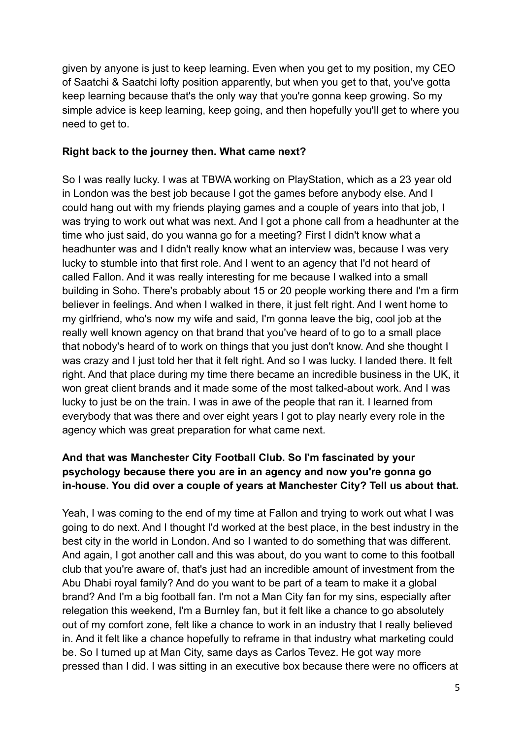given by anyone is just to keep learning. Even when you get to my position, my CEO of Saatchi & Saatchi lofty position apparently, but when you get to that, you've gotta keep learning because that's the only way that you're gonna keep growing. So my simple advice is keep learning, keep going, and then hopefully you'll get to where you need to get to.

#### **Right back to the journey then. What came next?**

So I was really lucky. I was at TBWA working on PlayStation, which as a 23 year old in London was the best job because I got the games before anybody else. And I could hang out with my friends playing games and a couple of years into that job, I was trying to work out what was next. And I got a phone call from a headhunter at the time who just said, do you wanna go for a meeting? First I didn't know what a headhunter was and I didn't really know what an interview was, because I was very lucky to stumble into that first role. And I went to an agency that I'd not heard of called Fallon. And it was really interesting for me because I walked into a small building in Soho. There's probably about 15 or 20 people working there and I'm a firm believer in feelings. And when I walked in there, it just felt right. And I went home to my girlfriend, who's now my wife and said, I'm gonna leave the big, cool job at the really well known agency on that brand that you've heard of to go to a small place that nobody's heard of to work on things that you just don't know. And she thought I was crazy and I just told her that it felt right. And so I was lucky. I landed there. It felt right. And that place during my time there became an incredible business in the UK, it won great client brands and it made some of the most talked-about work. And I was lucky to just be on the train. I was in awe of the people that ran it. I learned from everybody that was there and over eight years I got to play nearly every role in the agency which was great preparation for what came next.

### **And that was Manchester City Football Club. So I'm fascinated by your psychology because there you are in an agency and now you're gonna go in-house. You did over a couple of years at Manchester City? Tell us about that.**

Yeah, I was coming to the end of my time at Fallon and trying to work out what I was going to do next. And I thought I'd worked at the best place, in the best industry in the best city in the world in London. And so I wanted to do something that was different. And again, I got another call and this was about, do you want to come to this football club that you're aware of, that's just had an incredible amount of investment from the Abu Dhabi royal family? And do you want to be part of a team to make it a global brand? And I'm a big football fan. I'm not a Man City fan for my sins, especially after relegation this weekend, I'm a Burnley fan, but it felt like a chance to go absolutely out of my comfort zone, felt like a chance to work in an industry that I really believed in. And it felt like a chance hopefully to reframe in that industry what marketing could be. So I turned up at Man City, same days as Carlos Tevez. He got way more pressed than I did. I was sitting in an executive box because there were no officers at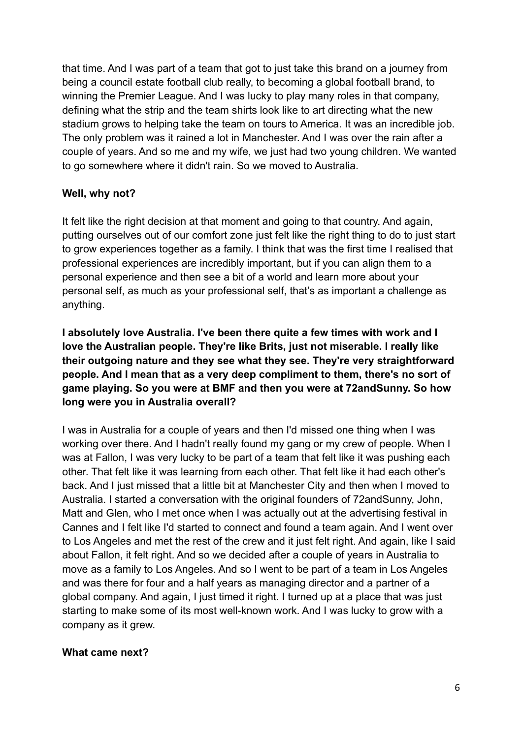that time. And I was part of a team that got to just take this brand on a journey from being a council estate football club really, to becoming a global football brand, to winning the Premier League. And I was lucky to play many roles in that company, defining what the strip and the team shirts look like to art directing what the new stadium grows to helping take the team on tours to America. It was an incredible job. The only problem was it rained a lot in Manchester. And I was over the rain after a couple of years. And so me and my wife, we just had two young children. We wanted to go somewhere where it didn't rain. So we moved to Australia.

#### **Well, why not?**

It felt like the right decision at that moment and going to that country. And again, putting ourselves out of our comfort zone just felt like the right thing to do to just start to grow experiences together as a family. I think that was the first time I realised that professional experiences are incredibly important, but if you can align them to a personal experience and then see a bit of a world and learn more about your personal self, as much as your professional self, that's as important a challenge as anything.

**I absolutely love Australia. I've been there quite a few times with work and I love the Australian people. They're like Brits, just not miserable. I really like their outgoing nature and they see what they see. They're very straightforward people. And I mean that as a very deep compliment to them, there's no sort of game playing. So you were at BMF and then you were at 72andSunny. So how long were you in Australia overall?**

I was in Australia for a couple of years and then I'd missed one thing when I was working over there. And I hadn't really found my gang or my crew of people. When I was at Fallon, I was very lucky to be part of a team that felt like it was pushing each other. That felt like it was learning from each other. That felt like it had each other's back. And I just missed that a little bit at Manchester City and then when I moved to Australia. I started a conversation with the original founders of 72andSunny, John, Matt and Glen, who I met once when I was actually out at the advertising festival in Cannes and I felt like I'd started to connect and found a team again. And I went over to Los Angeles and met the rest of the crew and it just felt right. And again, like I said about Fallon, it felt right. And so we decided after a couple of years in Australia to move as a family to Los Angeles. And so I went to be part of a team in Los Angeles and was there for four and a half years as managing director and a partner of a global company. And again, I just timed it right. I turned up at a place that was just starting to make some of its most well-known work. And I was lucky to grow with a company as it grew.

#### **What came next?**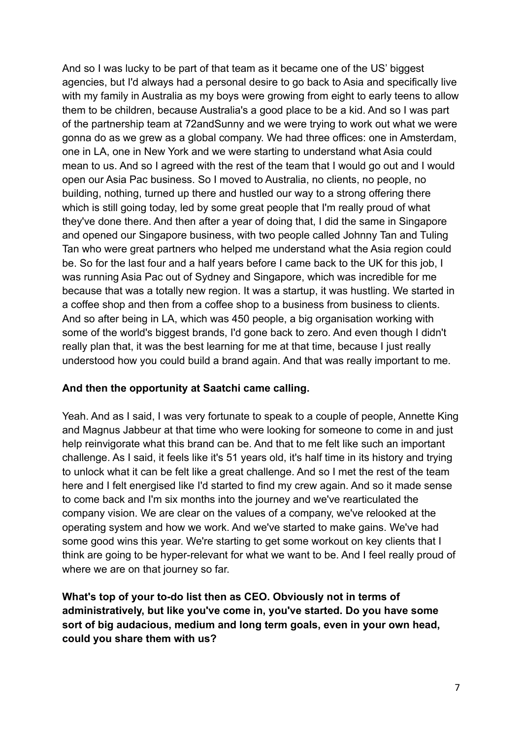And so I was lucky to be part of that team as it became one of the US' biggest agencies, but I'd always had a personal desire to go back to Asia and specifically live with my family in Australia as my boys were growing from eight to early teens to allow them to be children, because Australia's a good place to be a kid. And so I was part of the partnership team at 72andSunny and we were trying to work out what we were gonna do as we grew as a global company. We had three offices: one in Amsterdam, one in LA, one in New York and we were starting to understand what Asia could mean to us. And so I agreed with the rest of the team that I would go out and I would open our Asia Pac business. So I moved to Australia, no clients, no people, no building, nothing, turned up there and hustled our way to a strong offering there which is still going today, led by some great people that I'm really proud of what they've done there. And then after a year of doing that, I did the same in Singapore and opened our Singapore business, with two people called Johnny Tan and Tuling Tan who were great partners who helped me understand what the Asia region could be. So for the last four and a half years before I came back to the UK for this job, I was running Asia Pac out of Sydney and Singapore, which was incredible for me because that was a totally new region. It was a startup, it was hustling. We started in a coffee shop and then from a coffee shop to a business from business to clients. And so after being in LA, which was 450 people, a big organisation working with some of the world's biggest brands, I'd gone back to zero. And even though I didn't really plan that, it was the best learning for me at that time, because I just really understood how you could build a brand again. And that was really important to me.

#### **And then the opportunity at Saatchi came calling.**

Yeah. And as I said, I was very fortunate to speak to a couple of people, Annette King and Magnus Jabbeur at that time who were looking for someone to come in and just help reinvigorate what this brand can be. And that to me felt like such an important challenge. As I said, it feels like it's 51 years old, it's half time in its history and trying to unlock what it can be felt like a great challenge. And so I met the rest of the team here and I felt energised like I'd started to find my crew again. And so it made sense to come back and I'm six months into the journey and we've rearticulated the company vision. We are clear on the values of a company, we've relooked at the operating system and how we work. And we've started to make gains. We've had some good wins this year. We're starting to get some workout on key clients that I think are going to be hyper-relevant for what we want to be. And I feel really proud of where we are on that journey so far.

**What's top of your to-do list then as CEO. Obviously not in terms of administratively, but like you've come in, you've started. Do you have some sort of big audacious, medium and long term goals, even in your own head, could you share them with us?**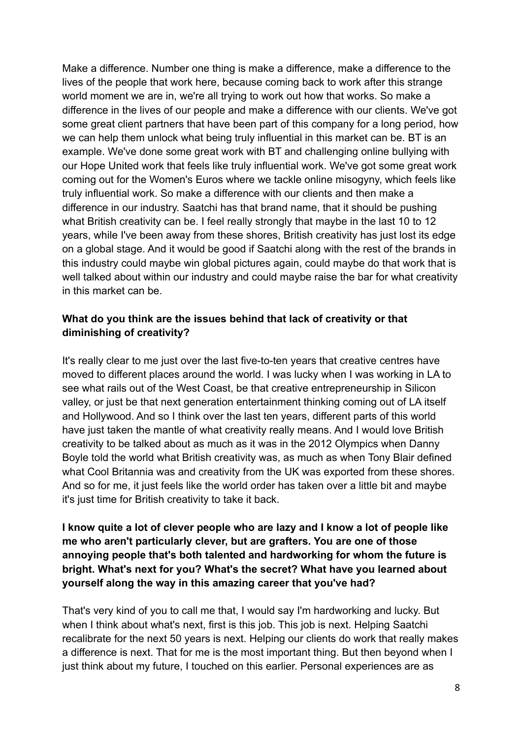Make a difference. Number one thing is make a difference, make a difference to the lives of the people that work here, because coming back to work after this strange world moment we are in, we're all trying to work out how that works. So make a difference in the lives of our people and make a difference with our clients. We've got some great client partners that have been part of this company for a long period, how we can help them unlock what being truly influential in this market can be. BT is an example. We've done some great work with BT and challenging online bullying with our Hope United work that feels like truly influential work. We've got some great work coming out for the Women's Euros where we tackle online misogyny, which feels like truly influential work. So make a difference with our clients and then make a difference in our industry. Saatchi has that brand name, that it should be pushing what British creativity can be. I feel really strongly that maybe in the last 10 to 12 years, while I've been away from these shores, British creativity has just lost its edge on a global stage. And it would be good if Saatchi along with the rest of the brands in this industry could maybe win global pictures again, could maybe do that work that is well talked about within our industry and could maybe raise the bar for what creativity in this market can be.

### **What do you think are the issues behind that lack of creativity or that diminishing of creativity?**

It's really clear to me just over the last five-to-ten years that creative centres have moved to different places around the world. I was lucky when I was working in LA to see what rails out of the West Coast, be that creative entrepreneurship in Silicon valley, or just be that next generation entertainment thinking coming out of LA itself and Hollywood. And so I think over the last ten years, different parts of this world have just taken the mantle of what creativity really means. And I would love British creativity to be talked about as much as it was in the 2012 Olympics when Danny Boyle told the world what British creativity was, as much as when Tony Blair defined what Cool Britannia was and creativity from the UK was exported from these shores. And so for me, it just feels like the world order has taken over a little bit and maybe it's just time for British creativity to take it back.

# **I know quite a lot of clever people who are lazy and I know a lot of people like me who aren't particularly clever, but are grafters. You are one of those annoying people that's both talented and hardworking for whom the future is bright. What's next for you? What's the secret? What have you learned about yourself along the way in this amazing career that you've had?**

That's very kind of you to call me that, I would say I'm hardworking and lucky. But when I think about what's next, first is this job. This job is next. Helping Saatchi recalibrate for the next 50 years is next. Helping our clients do work that really makes a difference is next. That for me is the most important thing. But then beyond when I just think about my future, I touched on this earlier. Personal experiences are as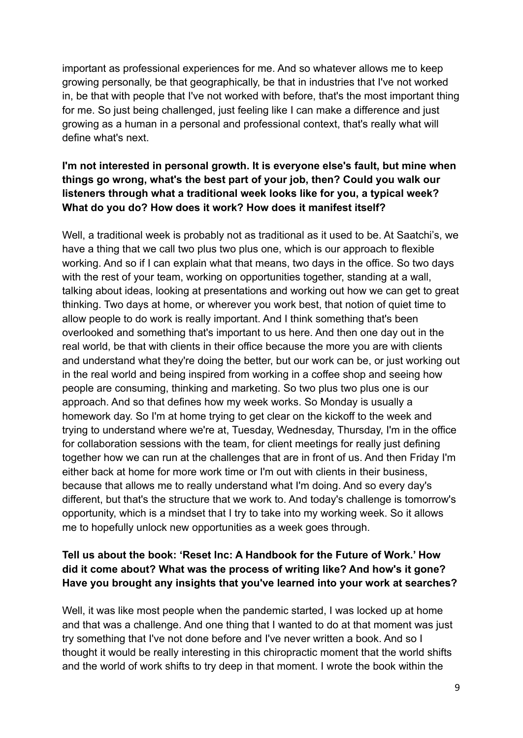important as professional experiences for me. And so whatever allows me to keep growing personally, be that geographically, be that in industries that I've not worked in, be that with people that I've not worked with before, that's the most important thing for me. So just being challenged, just feeling like I can make a difference and just growing as a human in a personal and professional context, that's really what will define what's next.

#### **I'm not interested in personal growth. It is everyone else's fault, but mine when things go wrong, what's the best part of your job, then? Could you walk our listeners through what a traditional week looks like for you, a typical week? What do you do? How does it work? How does it manifest itself?**

Well, a traditional week is probably not as traditional as it used to be. At Saatchi's, we have a thing that we call two plus two plus one, which is our approach to flexible working. And so if I can explain what that means, two days in the office. So two days with the rest of your team, working on opportunities together, standing at a wall, talking about ideas, looking at presentations and working out how we can get to great thinking. Two days at home, or wherever you work best, that notion of quiet time to allow people to do work is really important. And I think something that's been overlooked and something that's important to us here. And then one day out in the real world, be that with clients in their office because the more you are with clients and understand what they're doing the better, but our work can be, or just working out in the real world and being inspired from working in a coffee shop and seeing how people are consuming, thinking and marketing. So two plus two plus one is our approach. And so that defines how my week works. So Monday is usually a homework day. So I'm at home trying to get clear on the kickoff to the week and trying to understand where we're at, Tuesday, Wednesday, Thursday, I'm in the office for collaboration sessions with the team, for client meetings for really just defining together how we can run at the challenges that are in front of us. And then Friday I'm either back at home for more work time or I'm out with clients in their business, because that allows me to really understand what I'm doing. And so every day's different, but that's the structure that we work to. And today's challenge is tomorrow's opportunity, which is a mindset that I try to take into my working week. So it allows me to hopefully unlock new opportunities as a week goes through.

### **Tell us about the book: 'Reset Inc: A Handbook for the Future of Work.' How did it come about? What was the process of writing like? And how's it gone? Have you brought any insights that you've learned into your work at searches?**

Well, it was like most people when the pandemic started, I was locked up at home and that was a challenge. And one thing that I wanted to do at that moment was just try something that I've not done before and I've never written a book. And so I thought it would be really interesting in this chiropractic moment that the world shifts and the world of work shifts to try deep in that moment. I wrote the book within the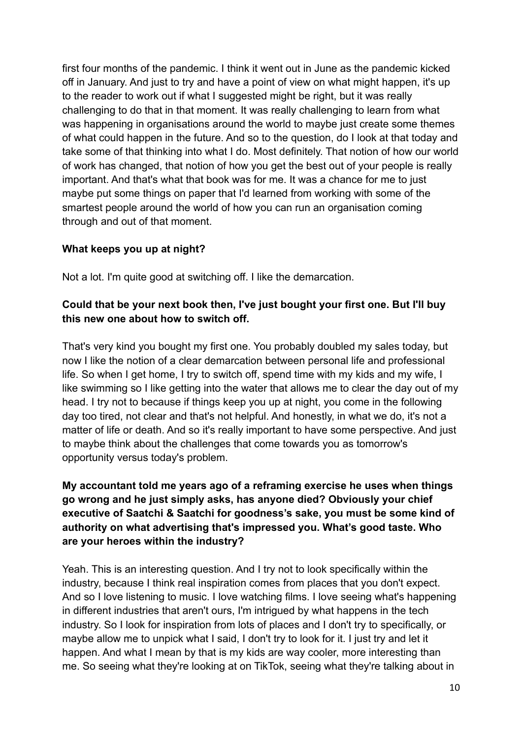first four months of the pandemic. I think it went out in June as the pandemic kicked off in January. And just to try and have a point of view on what might happen, it's up to the reader to work out if what I suggested might be right, but it was really challenging to do that in that moment. It was really challenging to learn from what was happening in organisations around the world to maybe just create some themes of what could happen in the future. And so to the question, do I look at that today and take some of that thinking into what I do. Most definitely. That notion of how our world of work has changed, that notion of how you get the best out of your people is really important. And that's what that book was for me. It was a chance for me to just maybe put some things on paper that I'd learned from working with some of the smartest people around the world of how you can run an organisation coming through and out of that moment.

#### **What keeps you up at night?**

Not a lot. I'm quite good at switching off. I like the demarcation.

### **Could that be your next book then, I've just bought your first one. But I'll buy this new one about how to switch off.**

That's very kind you bought my first one. You probably doubled my sales today, but now I like the notion of a clear demarcation between personal life and professional life. So when I get home, I try to switch off, spend time with my kids and my wife, I like swimming so I like getting into the water that allows me to clear the day out of my head. I try not to because if things keep you up at night, you come in the following day too tired, not clear and that's not helpful. And honestly, in what we do, it's not a matter of life or death. And so it's really important to have some perspective. And just to maybe think about the challenges that come towards you as tomorrow's opportunity versus today's problem.

# **My accountant told me years ago of a reframing exercise he uses when things go wrong and he just simply asks, has anyone died? Obviously your chief executive of Saatchi & Saatchi for goodness's sake, you must be some kind of authority on what advertising that's impressed you. What's good taste. Who are your heroes within the industry?**

Yeah. This is an interesting question. And I try not to look specifically within the industry, because I think real inspiration comes from places that you don't expect. And so I love listening to music. I love watching films. I love seeing what's happening in different industries that aren't ours, I'm intrigued by what happens in the tech industry. So I look for inspiration from lots of places and I don't try to specifically, or maybe allow me to unpick what I said, I don't try to look for it. I just try and let it happen. And what I mean by that is my kids are way cooler, more interesting than me. So seeing what they're looking at on TikTok, seeing what they're talking about in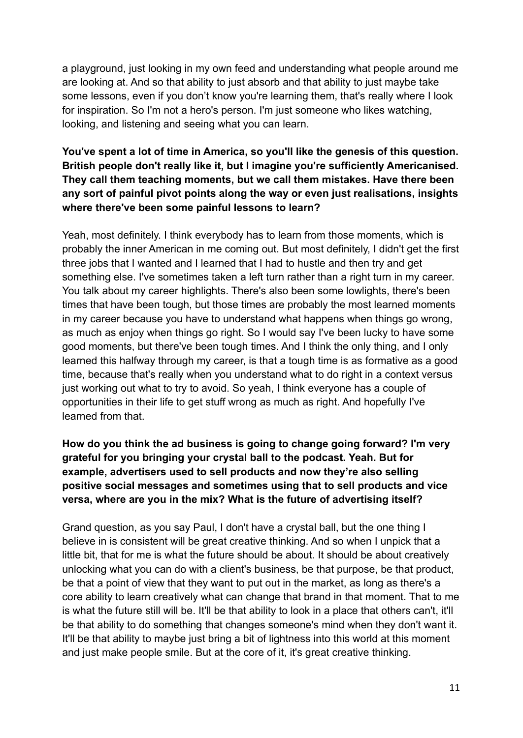a playground, just looking in my own feed and understanding what people around me are looking at. And so that ability to just absorb and that ability to just maybe take some lessons, even if you don't know you're learning them, that's really where I look for inspiration. So I'm not a hero's person. I'm just someone who likes watching, looking, and listening and seeing what you can learn.

# **You've spent a lot of time in America, so you'll like the genesis of this question. British people don't really like it, but I imagine you're sufficiently Americanised. They call them teaching moments, but we call them mistakes. Have there been any sort of painful pivot points along the way or even just realisations, insights where there've been some painful lessons to learn?**

Yeah, most definitely. I think everybody has to learn from those moments, which is probably the inner American in me coming out. But most definitely, I didn't get the first three jobs that I wanted and I learned that I had to hustle and then try and get something else. I've sometimes taken a left turn rather than a right turn in my career. You talk about my career highlights. There's also been some lowlights, there's been times that have been tough, but those times are probably the most learned moments in my career because you have to understand what happens when things go wrong, as much as enjoy when things go right. So I would say I've been lucky to have some good moments, but there've been tough times. And I think the only thing, and I only learned this halfway through my career, is that a tough time is as formative as a good time, because that's really when you understand what to do right in a context versus just working out what to try to avoid. So yeah, I think everyone has a couple of opportunities in their life to get stuff wrong as much as right. And hopefully I've learned from that.

# **How do you think the ad business is going to change going forward? I'm very grateful for you bringing your crystal ball to the podcast. Yeah. But for example, advertisers used to sell products and now they're also selling positive social messages and sometimes using that to sell products and vice versa, where are you in the mix? What is the future of advertising itself?**

Grand question, as you say Paul, I don't have a crystal ball, but the one thing I believe in is consistent will be great creative thinking. And so when I unpick that a little bit, that for me is what the future should be about. It should be about creatively unlocking what you can do with a client's business, be that purpose, be that product, be that a point of view that they want to put out in the market, as long as there's a core ability to learn creatively what can change that brand in that moment. That to me is what the future still will be. It'll be that ability to look in a place that others can't, it'll be that ability to do something that changes someone's mind when they don't want it. It'll be that ability to maybe just bring a bit of lightness into this world at this moment and just make people smile. But at the core of it, it's great creative thinking.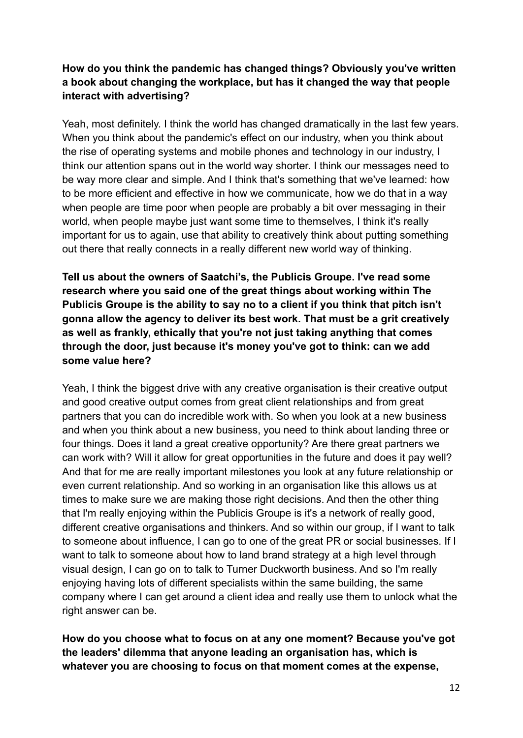### **How do you think the pandemic has changed things? Obviously you've written a book about changing the workplace, but has it changed the way that people interact with advertising?**

Yeah, most definitely. I think the world has changed dramatically in the last few years. When you think about the pandemic's effect on our industry, when you think about the rise of operating systems and mobile phones and technology in our industry, I think our attention spans out in the world way shorter. I think our messages need to be way more clear and simple. And I think that's something that we've learned: how to be more efficient and effective in how we communicate, how we do that in a way when people are time poor when people are probably a bit over messaging in their world, when people maybe just want some time to themselves, I think it's really important for us to again, use that ability to creatively think about putting something out there that really connects in a really different new world way of thinking.

**Tell us about the owners of Saatchi's, the Publicis Groupe. I've read some research where you said one of the great things about working within The Publicis Groupe is the ability to say no to a client if you think that pitch isn't gonna allow the agency to deliver its best work. That must be a grit creatively as well as frankly, ethically that you're not just taking anything that comes through the door, just because it's money you've got to think: can we add some value here?**

Yeah, I think the biggest drive with any creative organisation is their creative output and good creative output comes from great client relationships and from great partners that you can do incredible work with. So when you look at a new business and when you think about a new business, you need to think about landing three or four things. Does it land a great creative opportunity? Are there great partners we can work with? Will it allow for great opportunities in the future and does it pay well? And that for me are really important milestones you look at any future relationship or even current relationship. And so working in an organisation like this allows us at times to make sure we are making those right decisions. And then the other thing that I'm really enjoying within the Publicis Groupe is it's a network of really good, different creative organisations and thinkers. And so within our group, if I want to talk to someone about influence, I can go to one of the great PR or social businesses. If I want to talk to someone about how to land brand strategy at a high level through visual design, I can go on to talk to Turner Duckworth business. And so I'm really enjoying having lots of different specialists within the same building, the same company where I can get around a client idea and really use them to unlock what the right answer can be.

**How do you choose what to focus on at any one moment? Because you've got the leaders' dilemma that anyone leading an organisation has, which is whatever you are choosing to focus on that moment comes at the expense,**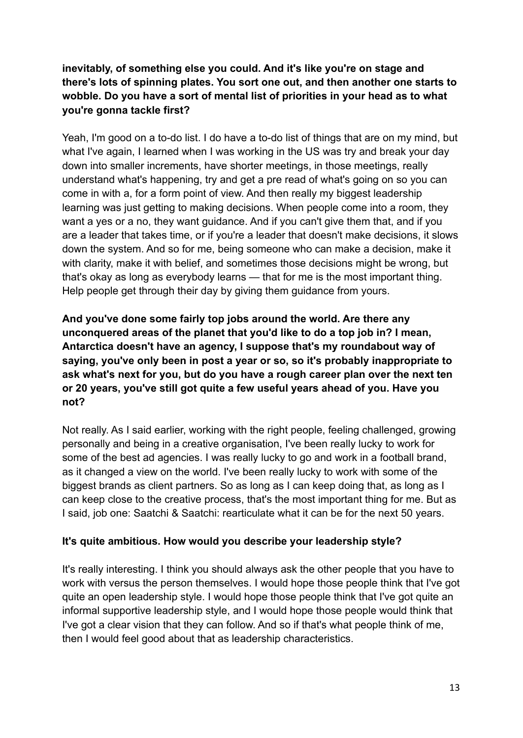# **inevitably, of something else you could. And it's like you're on stage and there's lots of spinning plates. You sort one out, and then another one starts to wobble. Do you have a sort of mental list of priorities in your head as to what you're gonna tackle first?**

Yeah, I'm good on a to-do list. I do have a to-do list of things that are on my mind, but what I've again, I learned when I was working in the US was try and break your day down into smaller increments, have shorter meetings, in those meetings, really understand what's happening, try and get a pre read of what's going on so you can come in with a, for a form point of view. And then really my biggest leadership learning was just getting to making decisions. When people come into a room, they want a yes or a no, they want guidance. And if you can't give them that, and if you are a leader that takes time, or if you're a leader that doesn't make decisions, it slows down the system. And so for me, being someone who can make a decision, make it with clarity, make it with belief, and sometimes those decisions might be wrong, but that's okay as long as everybody learns — that for me is the most important thing. Help people get through their day by giving them guidance from yours.

**And you've done some fairly top jobs around the world. Are there any unconquered areas of the planet that you'd like to do a top job in? I mean, Antarctica doesn't have an agency, I suppose that's my roundabout way of saying, you've only been in post a year or so, so it's probably inappropriate to ask what's next for you, but do you have a rough career plan over the next ten or 20 years, you've still got quite a few useful years ahead of you. Have you not?**

Not really. As I said earlier, working with the right people, feeling challenged, growing personally and being in a creative organisation, I've been really lucky to work for some of the best ad agencies. I was really lucky to go and work in a football brand, as it changed a view on the world. I've been really lucky to work with some of the biggest brands as client partners. So as long as I can keep doing that, as long as I can keep close to the creative process, that's the most important thing for me. But as I said, job one: Saatchi & Saatchi: rearticulate what it can be for the next 50 years.

# **It's quite ambitious. How would you describe your leadership style?**

It's really interesting. I think you should always ask the other people that you have to work with versus the person themselves. I would hope those people think that I've got quite an open leadership style. I would hope those people think that I've got quite an informal supportive leadership style, and I would hope those people would think that I've got a clear vision that they can follow. And so if that's what people think of me, then I would feel good about that as leadership characteristics.